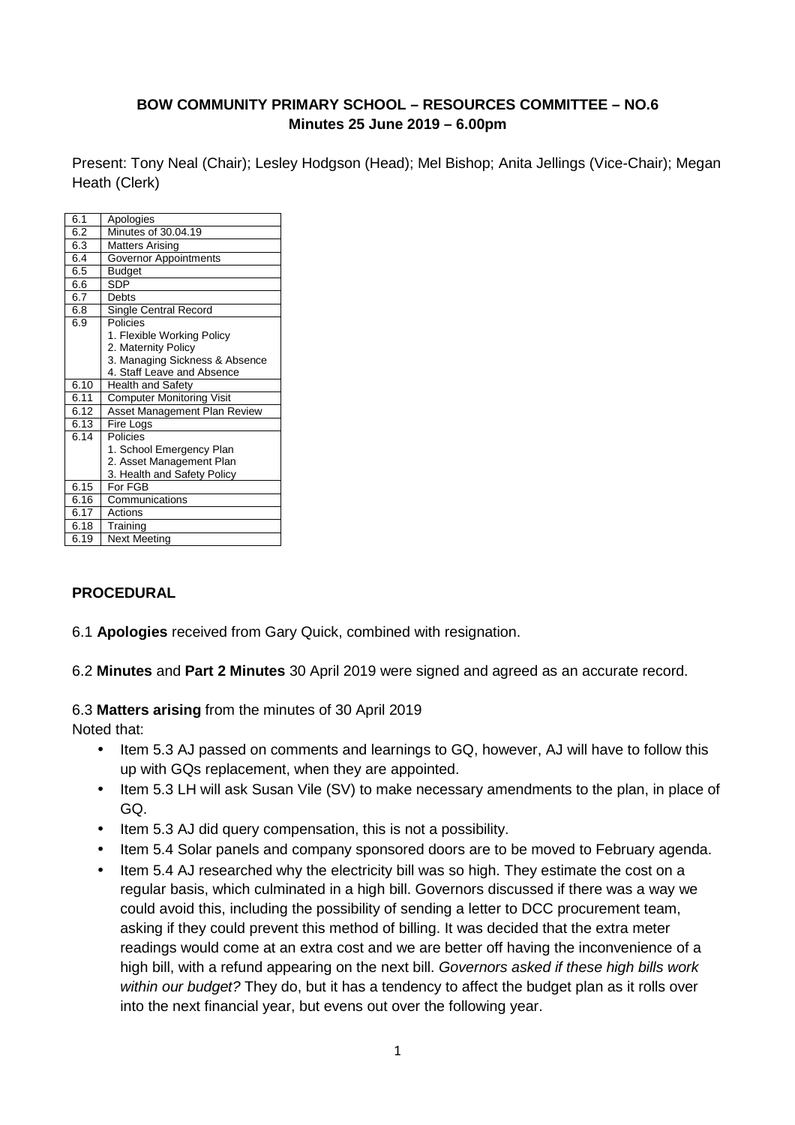#### **BOW COMMUNITY PRIMARY SCHOOL – RESOURCES COMMITTEE – NO.6 Minutes 25 June 2019 – 6.00pm**

Present: Tony Neal (Chair); Lesley Hodgson (Head); Mel Bishop; Anita Jellings (Vice-Chair); Megan Heath (Clerk)

| 6.1  | Apologies                        |
|------|----------------------------------|
| 6.2  | Minutes of 30.04.19              |
| 6.3  | <b>Matters Arising</b>           |
| 6.4  | Governor Appointments            |
| 6.5  | <b>Budget</b>                    |
| 6.6  | SDP                              |
| 6.7  | Debts                            |
| 6.8  | <b>Single Central Record</b>     |
| 6.9  | Policies                         |
|      | 1. Flexible Working Policy       |
|      | 2. Maternity Policy              |
|      | 3. Managing Sickness & Absence   |
|      | 4. Staff Leave and Absence       |
| 6.10 | <b>Health and Safety</b>         |
| 6.11 | <b>Computer Monitoring Visit</b> |
| 6.12 | Asset Management Plan Review     |
| 6.13 | Fire Logs                        |
| 6.14 | Policies                         |
|      | 1. School Emergency Plan         |
|      | 2. Asset Management Plan         |
|      | 3. Health and Safety Policy      |
| 6.15 | For FGB                          |
| 6.16 | Communications                   |
| 6.17 | Actions                          |
| 6.18 | Training                         |
| 6.19 | <b>Next Meeting</b>              |

#### **PROCEDURAL**

6.1 **Apologies** received from Gary Quick, combined with resignation.

6.2 **Minutes** and **Part 2 Minutes** 30 April 2019 were signed and agreed as an accurate record.

#### 6.3 **Matters arising** from the minutes of 30 April 2019

Noted that:

- Item 5.3 AJ passed on comments and learnings to GQ, however, AJ will have to follow this up with GQs replacement, when they are appointed.
- Item 5.3 LH will ask Susan Vile (SV) to make necessary amendments to the plan, in place of GQ.
- Item 5.3 AJ did query compensation, this is not a possibility.
- Item 5.4 Solar panels and company sponsored doors are to be moved to February agenda.
- Item 5.4 AJ researched why the electricity bill was so high. They estimate the cost on a regular basis, which culminated in a high bill. Governors discussed if there was a way we could avoid this, including the possibility of sending a letter to DCC procurement team, asking if they could prevent this method of billing. It was decided that the extra meter readings would come at an extra cost and we are better off having the inconvenience of a high bill, with a refund appearing on the next bill. Governors asked if these high bills work within our budget? They do, but it has a tendency to affect the budget plan as it rolls over into the next financial year, but evens out over the following year.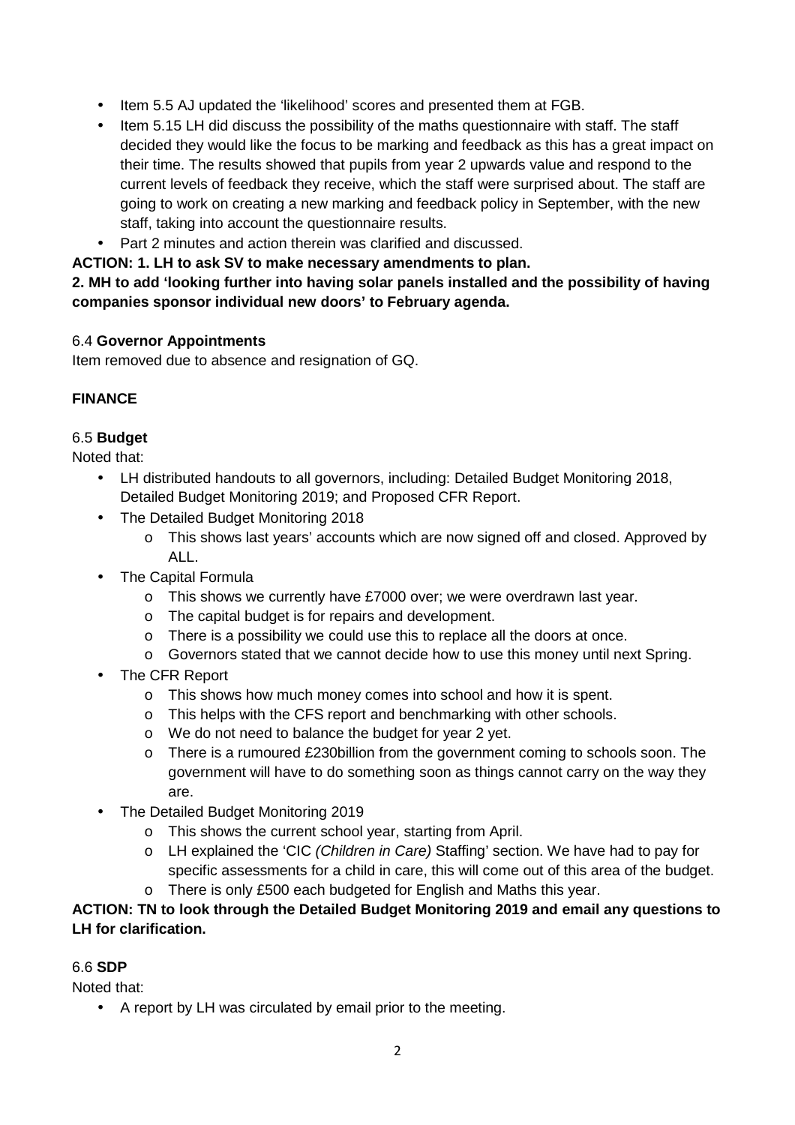- Item 5.5 AJ updated the 'likelihood' scores and presented them at FGB.
- Item 5.15 LH did discuss the possibility of the maths questionnaire with staff. The staff decided they would like the focus to be marking and feedback as this has a great impact on their time. The results showed that pupils from year 2 upwards value and respond to the current levels of feedback they receive, which the staff were surprised about. The staff are going to work on creating a new marking and feedback policy in September, with the new staff, taking into account the questionnaire results.
- Part 2 minutes and action therein was clarified and discussed.

**ACTION: 1. LH to ask SV to make necessary amendments to plan.**

**2. MH to add 'looking further into having solar panels installed and the possibility of having companies sponsor individual new doors' to February agenda.** 

#### 6.4 **Governor Appointments**

Item removed due to absence and resignation of GQ.

## **FINANCE**

## 6.5 **Budget**

Noted that:

- LH distributed handouts to all governors, including: Detailed Budget Monitoring 2018, Detailed Budget Monitoring 2019; and Proposed CFR Report.
- The Detailed Budget Monitoring 2018
	- o This shows last years' accounts which are now signed off and closed. Approved by ALL.
- The Capital Formula
	- o This shows we currently have £7000 over; we were overdrawn last year.
	- o The capital budget is for repairs and development.
	- o There is a possibility we could use this to replace all the doors at once.
	- o Governors stated that we cannot decide how to use this money until next Spring.
- The CFR Report
	- o This shows how much money comes into school and how it is spent.
	- o This helps with the CFS report and benchmarking with other schools.
	- o We do not need to balance the budget for year 2 yet.
	- o There is a rumoured £230billion from the government coming to schools soon. The government will have to do something soon as things cannot carry on the way they are.
- The Detailed Budget Monitoring 2019
	- o This shows the current school year, starting from April.
	- o LH explained the 'CIC (Children in Care) Staffing' section. We have had to pay for specific assessments for a child in care, this will come out of this area of the budget.
	- o There is only £500 each budgeted for English and Maths this year.

**ACTION: TN to look through the Detailed Budget Monitoring 2019 and email any questions to LH for clarification.** 

#### 6.6 **SDP**

Noted that:

• A report by LH was circulated by email prior to the meeting.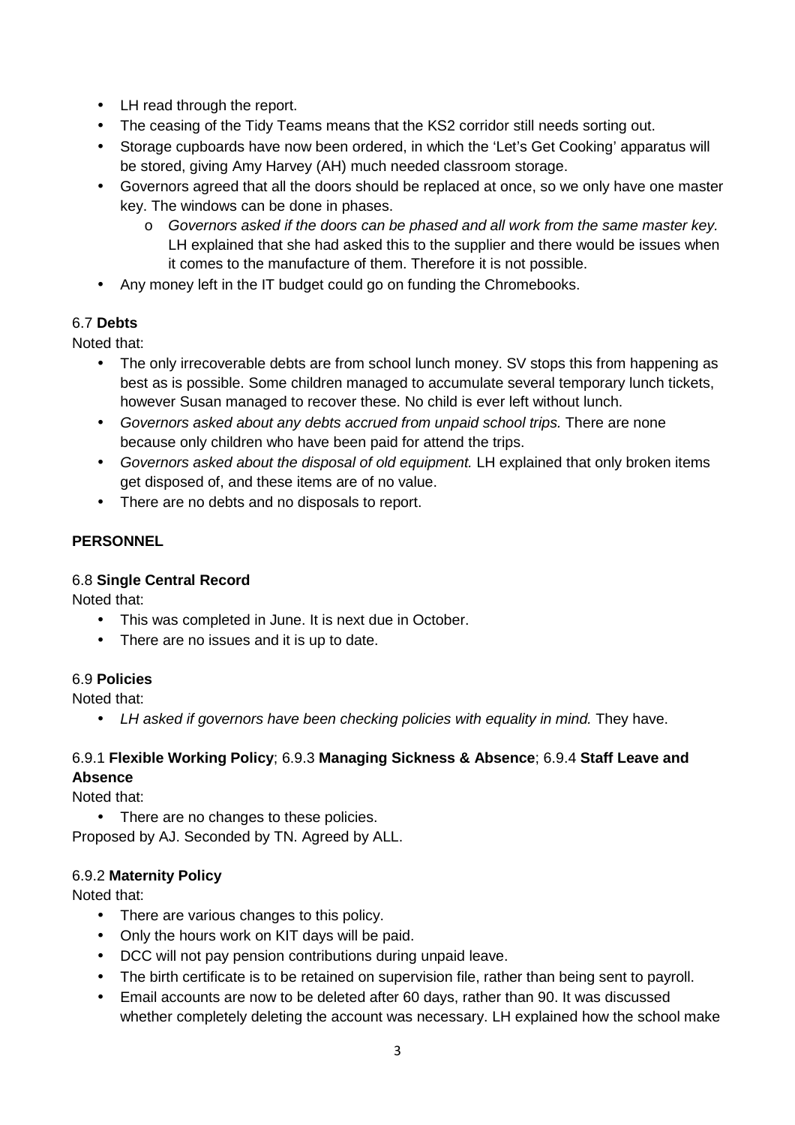- LH read through the report.
- The ceasing of the Tidy Teams means that the KS2 corridor still needs sorting out.
- Storage cupboards have now been ordered, in which the 'Let's Get Cooking' apparatus will be stored, giving Amy Harvey (AH) much needed classroom storage.
- Governors agreed that all the doors should be replaced at once, so we only have one master key. The windows can be done in phases.
	- o Governors asked if the doors can be phased and all work from the same master key. LH explained that she had asked this to the supplier and there would be issues when it comes to the manufacture of them. Therefore it is not possible.
- Any money left in the IT budget could go on funding the Chromebooks.

## 6.7 **Debts**

Noted that:

- The only irrecoverable debts are from school lunch money. SV stops this from happening as best as is possible. Some children managed to accumulate several temporary lunch tickets, however Susan managed to recover these. No child is ever left without lunch.
- Governors asked about any debts accrued from unpaid school trips. There are none because only children who have been paid for attend the trips.
- Governors asked about the disposal of old equipment. LH explained that only broken items get disposed of, and these items are of no value.
- There are no debts and no disposals to report.

# **PERSONNEL**

#### 6.8 **Single Central Record**

Noted that:

- This was completed in June. It is next due in October.
- There are no issues and it is up to date.

#### 6.9 **Policies**

Noted that:

• LH asked if governors have been checking policies with equality in mind. They have.

## 6.9.1 **Flexible Working Policy**; 6.9.3 **Managing Sickness & Absence**; 6.9.4 **Staff Leave and Absence**

Noted that:

• There are no changes to these policies. Proposed by AJ. Seconded by TN. Agreed by ALL.

#### 6.9.2 **Maternity Policy**

Noted that:

- There are various changes to this policy.
- Only the hours work on KIT days will be paid.
- DCC will not pay pension contributions during unpaid leave.
- The birth certificate is to be retained on supervision file, rather than being sent to payroll.
- Email accounts are now to be deleted after 60 days, rather than 90. It was discussed whether completely deleting the account was necessary. LH explained how the school make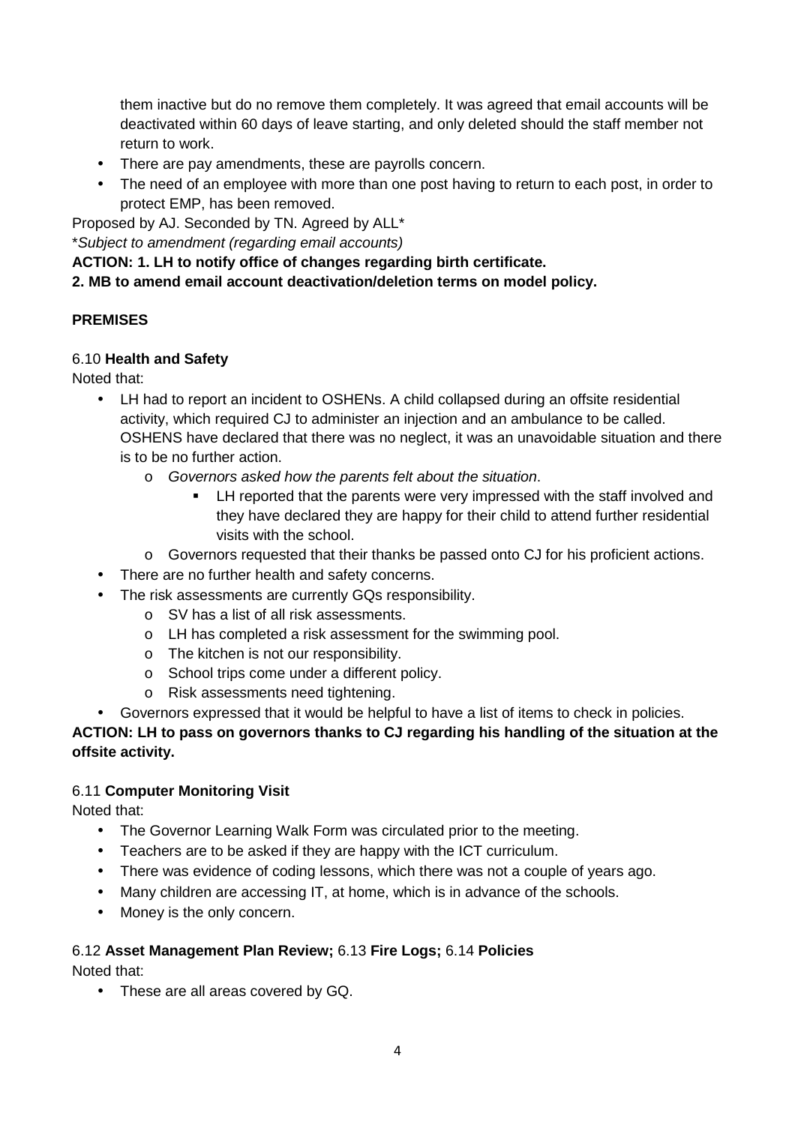them inactive but do no remove them completely. It was agreed that email accounts will be deactivated within 60 days of leave starting, and only deleted should the staff member not return to work.

- There are pay amendments, these are payrolls concern.
- The need of an employee with more than one post having to return to each post, in order to protect EMP, has been removed.

Proposed by AJ. Seconded by TN. Agreed by ALL\*

\*Subject to amendment (regarding email accounts)

#### **ACTION: 1. LH to notify office of changes regarding birth certificate.**

**2. MB to amend email account deactivation/deletion terms on model policy.** 

## **PREMISES**

#### 6.10 **Health and Safety**

Noted that:

- LH had to report an incident to OSHENs. A child collapsed during an offsite residential activity, which required CJ to administer an injection and an ambulance to be called. OSHENS have declared that there was no neglect, it was an unavoidable situation and there is to be no further action.
	- o Governors asked how the parents felt about the situation.
		- LH reported that the parents were very impressed with the staff involved and they have declared they are happy for their child to attend further residential visits with the school.
	- o Governors requested that their thanks be passed onto CJ for his proficient actions.
- There are no further health and safety concerns.
- The risk assessments are currently GQs responsibility.
	- o SV has a list of all risk assessments.
	- o LH has completed a risk assessment for the swimming pool.
	- o The kitchen is not our responsibility.
	- o School trips come under a different policy.
	- o Risk assessments need tightening.
- Governors expressed that it would be helpful to have a list of items to check in policies.

**ACTION: LH to pass on governors thanks to CJ regarding his handling of the situation at the offsite activity.** 

#### 6.11 **Computer Monitoring Visit**

Noted that:

- The Governor Learning Walk Form was circulated prior to the meeting.
- Teachers are to be asked if they are happy with the ICT curriculum.
- There was evidence of coding lessons, which there was not a couple of years ago.
- Many children are accessing IT, at home, which is in advance of the schools.
- Money is the only concern.

# 6.12 **Asset Management Plan Review;** 6.13 **Fire Logs;** 6.14 **Policies**

Noted that:

• These are all areas covered by GQ.